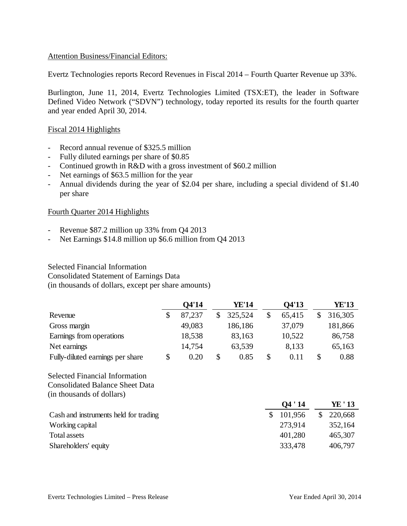## Attention Business/Financial Editors:

Evertz Technologies reports Record Revenues in Fiscal 2014 – Fourth Quarter Revenue up 33%.

Burlington, June 11, 2014, Evertz Technologies Limited (TSX:ET), the leader in Software Defined Video Network ("SDVN") technology, today reported its results for the fourth quarter and year ended April 30, 2014.

#### Fiscal 2014 Highlights

- Record annual revenue of \$325.5 million
- Fully diluted earnings per share of \$0.85
- Continued growth in R&D with a gross investment of \$60.2 million
- Net earnings of \$63.5 million for the year
- Annual dividends during the year of \$2.04 per share, including a special dividend of \$1.40 per share

#### Fourth Quarter 2014 Highlights

- Revenue \$87.2 million up 33% from Q4 2013
- Net Earnings \$14.8 million up \$6.6 million from Q4 2013

### Selected Financial Information

Consolidated Statement of Earnings Data

(in thousands of dollars, except per share amounts)

|                                        | Q4'14        | <b>YE'14</b>  | Q4'13         | <b>YE'13</b>  |
|----------------------------------------|--------------|---------------|---------------|---------------|
| Revenue                                | \$<br>87,237 | \$<br>325,524 | \$<br>65,415  | \$<br>316,305 |
| Gross margin                           | 49,083       | 186,186       | 37,079        | 181,866       |
| Earnings from operations               | 18,538       | 83,163        | 10,522        | 86,758        |
| Net earnings                           | 14,754       | 63,539        | 8,133         | 65,163        |
| Fully-diluted earnings per share       | \$<br>0.20   | \$<br>0.85    | \$<br>0.11    | \$<br>0.88    |
| <b>Selected Financial Information</b>  |              |               |               |               |
| <b>Consolidated Balance Sheet Data</b> |              |               |               |               |
| (in thousands of dollars)              |              |               |               |               |
|                                        |              |               | 04'14         | YE ' 13       |
| Cash and instruments held for trading  |              |               | \$<br>101,956 | \$<br>220,668 |
| Working capital                        |              |               | 273,914       | 352,164       |
| <b>Total assets</b>                    |              |               | 401,280       | 465,307       |
| Shareholders' equity                   |              |               | 333,478       | 406,797       |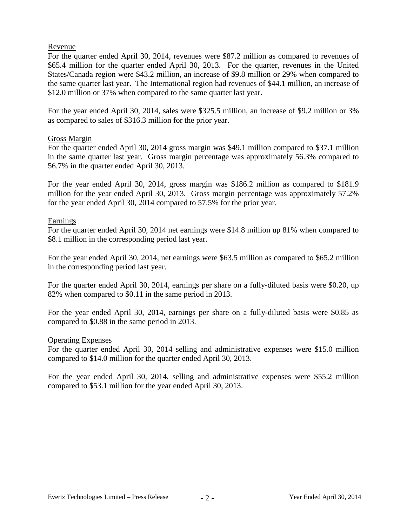## Revenue

For the quarter ended April 30, 2014, revenues were \$87.2 million as compared to revenues of \$65.4 million for the quarter ended April 30, 2013. For the quarter, revenues in the United States/Canada region were \$43.2 million, an increase of \$9.8 million or 29% when compared to the same quarter last year. The International region had revenues of \$44.1 million, an increase of \$12.0 million or 37% when compared to the same quarter last year.

For the year ended April 30, 2014, sales were \$325.5 million, an increase of \$9.2 million or 3% as compared to sales of \$316.3 million for the prior year.

## Gross Margin

For the quarter ended April 30, 2014 gross margin was \$49.1 million compared to \$37.1 million in the same quarter last year. Gross margin percentage was approximately 56.3% compared to 56.7% in the quarter ended April 30, 2013.

For the year ended April 30, 2014, gross margin was \$186.2 million as compared to \$181.9 million for the year ended April 30, 2013. Gross margin percentage was approximately 57.2% for the year ended April 30, 2014 compared to 57.5% for the prior year.

## Earnings

For the quarter ended April 30, 2014 net earnings were \$14.8 million up 81% when compared to \$8.1 million in the corresponding period last year.

For the year ended April 30, 2014, net earnings were \$63.5 million as compared to \$65.2 million in the corresponding period last year.

For the quarter ended April 30, 2014, earnings per share on a fully-diluted basis were \$0.20, up 82% when compared to \$0.11 in the same period in 2013.

For the year ended April 30, 2014, earnings per share on a fully-diluted basis were \$0.85 as compared to \$0.88 in the same period in 2013.

### Operating Expenses

For the quarter ended April 30, 2014 selling and administrative expenses were \$15.0 million compared to \$14.0 million for the quarter ended April 30, 2013.

For the year ended April 30, 2014, selling and administrative expenses were \$55.2 million compared to \$53.1 million for the year ended April 30, 2013.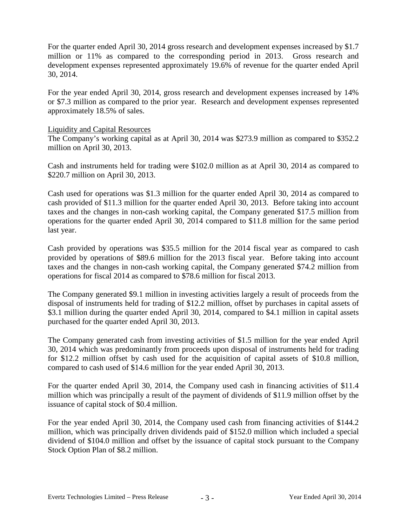For the quarter ended April 30, 2014 gross research and development expenses increased by \$1.7 million or 11% as compared to the corresponding period in 2013. Gross research and development expenses represented approximately 19.6% of revenue for the quarter ended April 30, 2014.

For the year ended April 30, 2014, gross research and development expenses increased by 14% or \$7.3 million as compared to the prior year. Research and development expenses represented approximately 18.5% of sales.

## Liquidity and Capital Resources

The Company's working capital as at April 30, 2014 was \$273.9 million as compared to \$352.2 million on April 30, 2013.

Cash and instruments held for trading were \$102.0 million as at April 30, 2014 as compared to \$220.7 million on April 30, 2013.

Cash used for operations was \$1.3 million for the quarter ended April 30, 2014 as compared to cash provided of \$11.3 million for the quarter ended April 30, 2013. Before taking into account taxes and the changes in non-cash working capital, the Company generated \$17.5 million from operations for the quarter ended April 30, 2014 compared to \$11.8 million for the same period last year.

Cash provided by operations was \$35.5 million for the 2014 fiscal year as compared to cash provided by operations of \$89.6 million for the 2013 fiscal year. Before taking into account taxes and the changes in non-cash working capital, the Company generated \$74.2 million from operations for fiscal 2014 as compared to \$78.6 million for fiscal 2013.

The Company generated \$9.1 million in investing activities largely a result of proceeds from the disposal of instruments held for trading of \$12.2 million, offset by purchases in capital assets of \$3.1 million during the quarter ended April 30, 2014, compared to \$4.1 million in capital assets purchased for the quarter ended April 30, 2013.

The Company generated cash from investing activities of \$1.5 million for the year ended April 30, 2014 which was predominantly from proceeds upon disposal of instruments held for trading for \$12.2 million offset by cash used for the acquisition of capital assets of \$10.8 million, compared to cash used of \$14.6 million for the year ended April 30, 2013.

For the quarter ended April 30, 2014, the Company used cash in financing activities of \$11.4 million which was principally a result of the payment of dividends of \$11.9 million offset by the issuance of capital stock of \$0.4 million.

For the year ended April 30, 2014, the Company used cash from financing activities of \$144.2 million, which was principally driven dividends paid of \$152.0 million which included a special dividend of \$104.0 million and offset by the issuance of capital stock pursuant to the Company Stock Option Plan of \$8.2 million.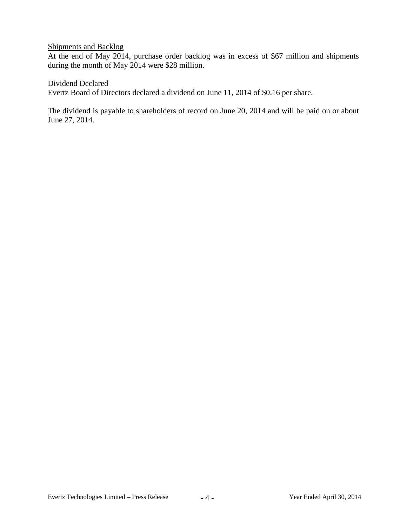## Shipments and Backlog

At the end of May 2014, purchase order backlog was in excess of \$67 million and shipments during the month of May 2014 were \$28 million.

Dividend Declared

Evertz Board of Directors declared a dividend on June 11, 2014 of \$0.16 per share.

The dividend is payable to shareholders of record on June 20, 2014 and will be paid on or about June 27, 2014.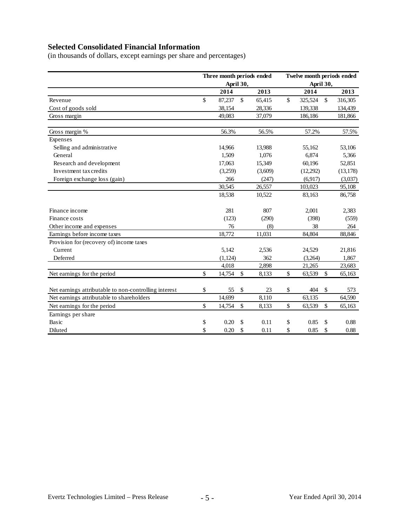# **Selected Consolidated Financial Information**

(in thousands of dollars, except earnings per share and percentages)

|                                                       |               | Three month periods ended<br>April 30, |               |         | Twelve month periods ended<br>April 30, |          |              |           |
|-------------------------------------------------------|---------------|----------------------------------------|---------------|---------|-----------------------------------------|----------|--------------|-----------|
|                                                       |               | 2014                                   |               | 2013    |                                         | 2014     |              | 2013      |
| Revenue                                               | $\mathsf{\$}$ | 87,237                                 | $\mathsf{\$}$ | 65,415  | \$                                      | 325,524  | $\mathbb{S}$ | 316,305   |
| Cost of goods sold                                    |               | 38,154                                 |               | 28,336  |                                         | 139,338  |              | 134,439   |
| Gross margin                                          |               | 49,083                                 |               | 37,079  |                                         | 186,186  |              | 181,866   |
| Gross margin %                                        |               | 56.3%                                  |               | 56.5%   |                                         | 57.2%    |              | 57.5%     |
| Expenses                                              |               |                                        |               |         |                                         |          |              |           |
| Selling and administrative                            |               | 14,966                                 |               | 13,988  |                                         | 55,162   |              | 53,106    |
| General                                               |               | 1,509                                  |               | 1,076   |                                         | 6,874    |              | 5,366     |
| Research and development                              |               | 17,063                                 |               | 15,349  |                                         | 60,196   |              | 52,851    |
| Investment tax credits                                |               | (3,259)                                |               | (3,609) |                                         | (12,292) |              | (13, 178) |
| Foreign exchange loss (gain)                          |               | 266                                    |               | (247)   |                                         | (6,917)  |              | (3,037)   |
|                                                       |               | 30,545                                 |               | 26,557  |                                         | 103,023  |              | 95,108    |
|                                                       |               | 18,538                                 |               | 10,522  |                                         | 83,163   |              | 86,758    |
| Finance income                                        |               | 281                                    |               | 807     |                                         | 2,001    |              | 2,383     |
| Finance costs                                         |               | (123)                                  |               | (290)   |                                         | (398)    |              | (559)     |
| Other income and expenses                             |               | 76                                     |               | (8)     |                                         | 38       |              | 264       |
| Earnings before income taxes                          |               | 18,772                                 |               | 11,031  |                                         | 84,804   |              | 88,846    |
| Provision for (recovery of) income taxes              |               |                                        |               |         |                                         |          |              |           |
| Current                                               |               | 5,142                                  |               | 2,536   |                                         | 24,529   |              | 21,816    |
| Deferred                                              |               | (1, 124)                               |               | 362     |                                         | (3,264)  |              | 1,867     |
|                                                       |               | 4,018                                  |               | 2,898   |                                         | 21,265   |              | 23,683    |
| Net earnings for the period                           | \$            | 14,754                                 | \$            | 8,133   | \$                                      | 63,539   | \$           | 65,163    |
| Net earnings attributable to non-controlling interest | \$            | 55                                     | $\$$          | 23      | \$                                      | 404      | \$           | 573       |
| Net earnings attributable to shareholders             |               | 14,699                                 |               | 8,110   |                                         | 63,135   |              | 64,590    |
| Net earnings for the period                           | \$            | 14,754                                 | $\mathbb{S}$  | 8,133   | \$                                      | 63,539   | \$           | 65,163    |
| Earnings per share                                    |               |                                        |               |         |                                         |          |              |           |
| Basic                                                 | \$            | 0.20                                   | \$            | 0.11    | \$                                      | 0.85     | \$           | 0.88      |
| Diluted                                               | \$            | 0.20                                   | \$            | 0.11    | \$                                      | 0.85     | \$           | 0.88      |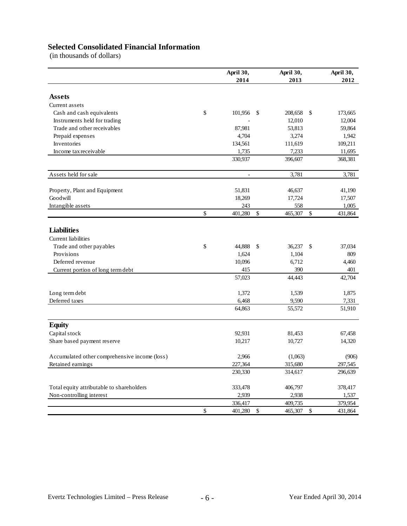# **Selected Consolidated Financial Information**

(in thousands of dollars)

|                                               | April 30,     |              | April 30, |               | April 30, |
|-----------------------------------------------|---------------|--------------|-----------|---------------|-----------|
|                                               | 2014          |              | 2013      |               | 2012      |
|                                               |               |              |           |               |           |
| Assets                                        |               |              |           |               |           |
| Current assets                                |               |              |           |               |           |
| Cash and cash equivalents                     | \$<br>101,956 | -S           | 208,658   | -S            | 173,665   |
| Instruments held for trading                  |               |              | 12,010    |               | 12,004    |
| Trade and other receivables                   | 87,981        |              | 53,813    |               | 59,864    |
| Prepaid expenses                              | 4,704         |              | 3,274     |               | 1,942     |
| Inventories                                   | 134,561       |              | 111,619   |               | 109,211   |
| Income tax receivable                         | 1,735         |              | 7,233     |               | 11,695    |
|                                               | 330,937       |              | 396,607   |               | 368,381   |
| Assets held for sale                          | ÷,            |              | 3,781     |               | 3,781     |
| Property, Plant and Equipment                 | 51,831        |              | 46,637    |               | 41,190    |
| Goodwill                                      | 18,269        |              | 17,724    |               | 17,507    |
| Intangible assets                             | 243           |              | 558       |               | 1,005     |
|                                               | \$<br>401,280 | \$           | 465,307   | \$            | 431,864   |
|                                               |               |              |           |               |           |
| <b>Liabilities</b>                            |               |              |           |               |           |
| Current liabilities                           |               |              |           |               |           |
| Trade and other payables                      | \$<br>44,888  | \$           | 36,237    | $\mathcal{S}$ | 37,034    |
| Provisions                                    | 1,624         |              | 1,104     |               | 809       |
| Deferred revenue                              | 10,096        |              | 6,712     |               | 4,460     |
| Current portion of long term debt             | 415           |              | 390       |               | 401       |
|                                               | 57,023        |              | 44,443    |               | 42,704    |
| Long term debt                                | 1,372         |              | 1,539     |               | 1,875     |
| Deferred taxes                                | 6,468         |              | 9,590     |               | 7,331     |
|                                               | 64,863        |              | 55,572    |               | 51,910    |
| <b>Equity</b>                                 |               |              |           |               |           |
| Capital stock                                 | 92,931        |              | 81,453    |               | 67,458    |
| Share based payment reserve                   | 10,217        |              | 10,727    |               | 14,320    |
| Accumulated other comprehensive income (loss) | 2,966         |              | (1,063)   |               | (906)     |
| Retained earnings                             | 227,364       |              | 315,680   |               | 297,545   |
|                                               | 230,330       |              | 314,617   |               | 296,639   |
| Total equity attributable to shareholders     | 333,478       |              | 406,797   |               | 378,417   |
| Non-controlling interest                      | 2,939         |              | 2,938     |               | 1,537     |
|                                               | 336,417       |              | 409,735   |               | 379,954   |
|                                               | \$<br>401,280 | $\mathbb{S}$ | 465,307   | \$            | 431,864   |